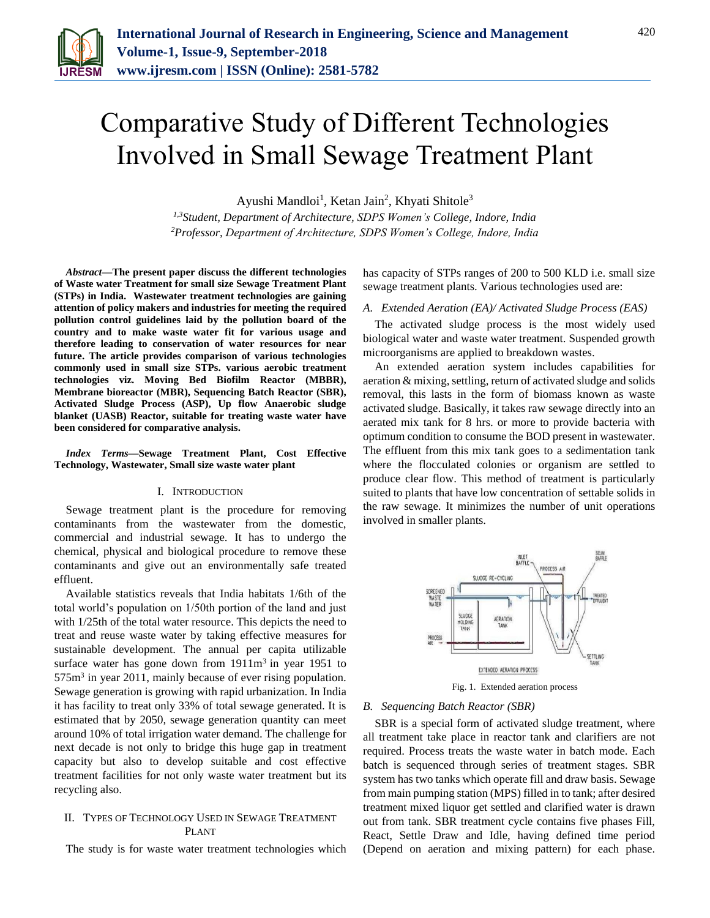

# Comparative Study of Different Technologies Involved in Small Sewage Treatment Plant

Ayushi Mandloi<sup>1</sup>, Ketan Jain<sup>2</sup>, Khyati Shitole<sup>3</sup>

*1,3Student, Department of Architecture, SDPS Women's College, Indore, India 2Professor, Department of Architecture, SDPS Women's College, Indore, India*

*Abstract***—The present paper discuss the different technologies of Waste water Treatment for small size Sewage Treatment Plant (STPs) in India. Wastewater treatment technologies are gaining attention of policy makers and industries for meeting the required pollution control guidelines laid by the pollution board of the country and to make waste water fit for various usage and therefore leading to conservation of water resources for near future. The article provides comparison of various technologies commonly used in small size STPs. various aerobic treatment technologies viz. Moving Bed Biofilm Reactor (MBBR), Membrane bioreactor (MBR), Sequencing Batch Reactor (SBR), Activated Sludge Process (ASP), Up flow Anaerobic sludge blanket (UASB) Reactor, suitable for treating waste water have been considered for comparative analysis.**

*Index Terms***—Sewage Treatment Plant, Cost Effective Technology, Wastewater, Small size waste water plant**

#### I. INTRODUCTION

Sewage treatment plant is the procedure for removing contaminants from the wastewater from the domestic, commercial and industrial sewage. It has to undergo the chemical, physical and biological procedure to remove these contaminants and give out an environmentally safe treated effluent.

Available statistics reveals that India habitats 1/6th of the total world's population on 1/50th portion of the land and just with 1/25th of the total water resource. This depicts the need to treat and reuse waste water by taking effective measures for sustainable development. The annual per capita utilizable surface water has gone down from  $1911m<sup>3</sup>$  in year 1951 to 575m<sup>3</sup> in year 2011, mainly because of ever rising population. Sewage generation is growing with rapid urbanization. In India it has facility to treat only 33% of total sewage generated. It is estimated that by 2050, sewage generation quantity can meet around 10% of total irrigation water demand. The challenge for next decade is not only to bridge this huge gap in treatment capacity but also to develop suitable and cost effective treatment facilities for not only waste water treatment but its recycling also.

## II. TYPES OF TECHNOLOGY USED IN SEWAGE TREATMENT PLANT

The study is for waste water treatment technologies which

has capacity of STPs ranges of 200 to 500 KLD i.e. small size sewage treatment plants. Various technologies used are:

#### *A. Extended Aeration (EA)/ Activated Sludge Process (EAS)*

The activated sludge process is the most widely used biological water and waste water treatment. Suspended growth microorganisms are applied to breakdown wastes.

An extended aeration system includes capabilities for aeration & mixing, settling, return of activated sludge and solids removal, this lasts in the form of biomass known as waste activated sludge. Basically, it takes raw sewage directly into an aerated mix tank for 8 hrs. or more to provide bacteria with optimum condition to consume the BOD present in wastewater. The effluent from this mix tank goes to a sedimentation tank where the flocculated colonies or organism are settled to produce clear flow. This method of treatment is particularly suited to plants that have low concentration of settable solids in the raw sewage. It minimizes the number of unit operations involved in smaller plants.



## *B. Sequencing Batch Reactor (SBR)*

SBR is a special form of activated sludge treatment, where all treatment take place in reactor tank and clarifiers are not required. Process treats the waste water in batch mode. Each batch is sequenced through series of treatment stages. SBR system has two tanks which operate fill and draw basis. Sewage from main pumping station (MPS) filled in to tank; after desired treatment mixed liquor get settled and clarified water is drawn out from tank. SBR treatment cycle contains five phases Fill, React, Settle Draw and Idle, having defined time period (Depend on aeration and mixing pattern) for each phase.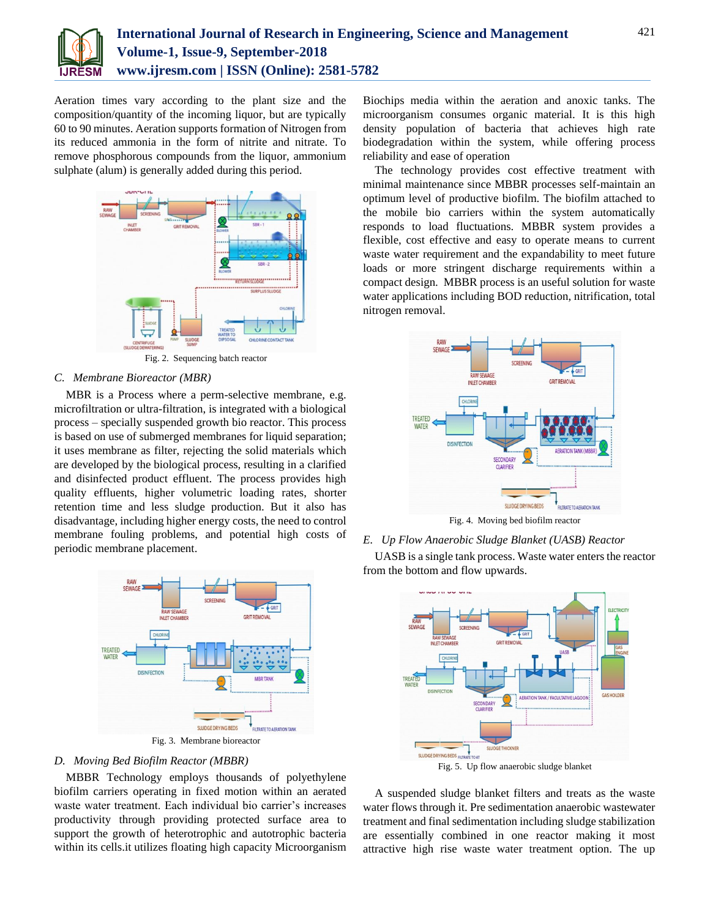

Aeration times vary according to the plant size and the composition/quantity of the incoming liquor, but are typically 60 to 90 minutes. Aeration supports formation of Nitrogen from its reduced ammonia in the form of nitrite and nitrate. To remove phosphorous compounds from the liquor, ammonium sulphate (alum) is generally added during this period.



Fig. 2. Sequencing batch reactor

# *C. Membrane Bioreactor (MBR)*

MBR is a Process where a perm-selective membrane, e.g. microfiltration or ultra-filtration, is integrated with a biological process – specially suspended growth bio reactor. This process is based on use of submerged membranes for liquid separation; it uses membrane as filter, rejecting the solid materials which are developed by the biological process, resulting in a clarified and disinfected product effluent. The process provides high quality effluents, higher volumetric loading rates, shorter retention time and less sludge production. But it also has disadvantage, including higher energy costs, the need to control membrane fouling problems, and potential high costs of periodic membrane placement.



## *D. Moving Bed Biofilm Reactor (MBBR)*

MBBR Technology employs thousands of polyethylene biofilm carriers operating in fixed motion within an aerated waste water treatment. Each individual bio carrier's increases productivity through providing protected surface area to support the growth of heterotrophic and autotrophic bacteria within its cells.it utilizes floating high capacity Microorganism

Biochips media within the aeration and anoxic tanks. The microorganism consumes organic material. It is this high density population of bacteria that achieves high rate biodegradation within the system, while offering process reliability and ease of operation

The technology provides cost effective treatment with minimal maintenance since MBBR processes self-maintain an optimum level of productive biofilm. The biofilm attached to the mobile bio carriers within the system automatically responds to load fluctuations. MBBR system provides a flexible, cost effective and easy to operate means to current waste water requirement and the expandability to meet future loads or more stringent discharge requirements within a compact design. MBBR process is an useful solution for waste water applications including BOD reduction, nitrification, total nitrogen removal.



Fig. 4. Moving bed biofilm reactor

*E. Up Flow Anaerobic Sludge Blanket (UASB) Reactor*

UASB is a single tank process. Waste water enters the reactor from the bottom and flow upwards.



Fig. 5. Up flow anaerobic sludge blanket

A suspended sludge blanket filters and treats as the waste water flows through it. Pre sedimentation anaerobic wastewater treatment and final sedimentation including sludge stabilization are essentially combined in one reactor making it most attractive high rise waste water treatment option. The up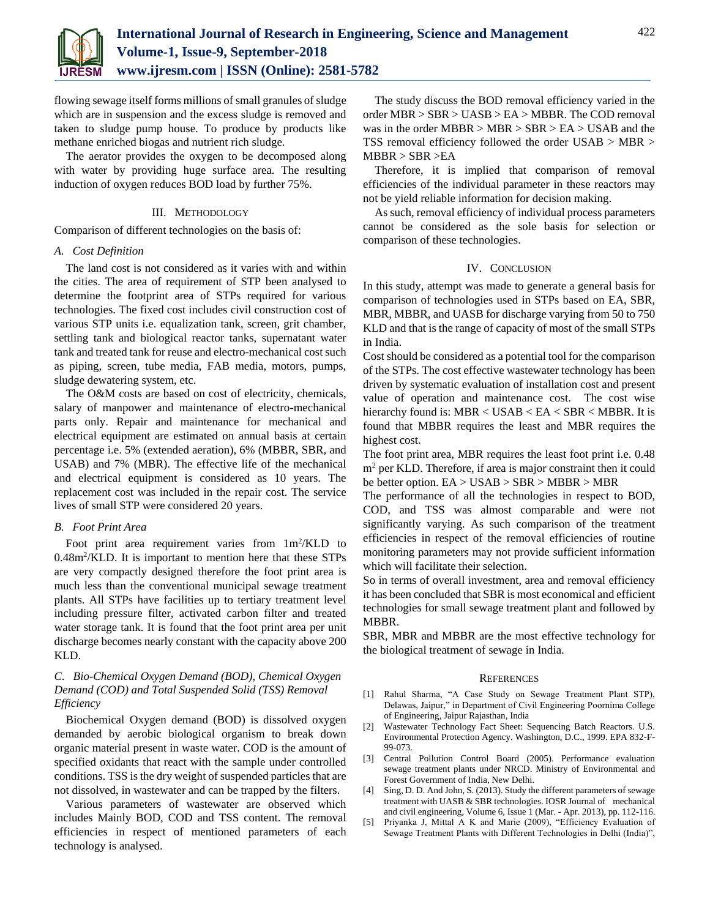

flowing sewage itself forms millions of small granules of sludge which are in suspension and the excess sludge is removed and taken to sludge pump house. To produce by products like methane enriched biogas and nutrient rich sludge.

The aerator provides the oxygen to be decomposed along with water by providing huge surface area. The resulting induction of oxygen reduces BOD load by further 75%.

#### III. METHODOLOGY

Comparison of different technologies on the basis of:

## *A. Cost Definition*

The land cost is not considered as it varies with and within the cities. The area of requirement of STP been analysed to determine the footprint area of STPs required for various technologies. The fixed cost includes civil construction cost of various STP units i.e. equalization tank, screen, grit chamber, settling tank and biological reactor tanks, supernatant water tank and treated tank for reuse and electro-mechanical cost such as piping, screen, tube media, FAB media, motors, pumps, sludge dewatering system, etc.

The O&M costs are based on cost of electricity, chemicals, salary of manpower and maintenance of electro-mechanical parts only. Repair and maintenance for mechanical and electrical equipment are estimated on annual basis at certain percentage i.e. 5% (extended aeration), 6% (MBBR, SBR, and USAB) and 7% (MBR). The effective life of the mechanical and electrical equipment is considered as 10 years. The replacement cost was included in the repair cost. The service lives of small STP were considered 20 years.

## *B. Foot Print Area*

Foot print area requirement varies from  $1m^2/KLD$  to 0.48m<sup>2</sup> /KLD. It is important to mention here that these STPs are very compactly designed therefore the foot print area is much less than the conventional municipal sewage treatment plants. All STPs have facilities up to tertiary treatment level including pressure filter, activated carbon filter and treated water storage tank. It is found that the foot print area per unit discharge becomes nearly constant with the capacity above 200 KLD.

# *C. Bio-Chemical Oxygen Demand (BOD), Chemical Oxygen Demand (COD) and Total Suspended Solid (TSS) Removal Efficiency*

Biochemical Oxygen demand (BOD) is dissolved oxygen demanded by aerobic biological organism to break down organic material present in waste water. COD is the amount of specified oxidants that react with the sample under controlled conditions. TSS is the dry weight of suspended particles that are not dissolved, in wastewater and can be trapped by the filters.

Various parameters of wastewater are observed which includes Mainly BOD, COD and TSS content. The removal efficiencies in respect of mentioned parameters of each technology is analysed.

The study discuss the BOD removal efficiency varied in the order MBR > SBR > UASB > EA > MBBR. The COD removal was in the order  $MBBR > MBR > SBR > EA > USAB$  and the TSS removal efficiency followed the order USAB > MBR >  $MBBR > SBR > EA$ 

Therefore, it is implied that comparison of removal efficiencies of the individual parameter in these reactors may not be yield reliable information for decision making.

As such, removal efficiency of individual process parameters cannot be considered as the sole basis for selection or comparison of these technologies.

## IV. CONCLUSION

In this study, attempt was made to generate a general basis for comparison of technologies used in STPs based on EA, SBR, MBR, MBBR, and UASB for discharge varying from 50 to 750 KLD and that is the range of capacity of most of the small STPs in India.

Cost should be considered as a potential tool for the comparison of the STPs. The cost effective wastewater technology has been driven by systematic evaluation of installation cost and present value of operation and maintenance cost. The cost wise hierarchy found is: MBR < USAB < EA < SBR < MBBR. It is found that MBBR requires the least and MBR requires the highest cost.

The foot print area, MBR requires the least foot print i.e. 0.48 m<sup>2</sup> per KLD. Therefore, if area is major constraint then it could be better option. EA > USAB > SBR > MBBR > MBR

The performance of all the technologies in respect to BOD, COD, and TSS was almost comparable and were not significantly varying. As such comparison of the treatment efficiencies in respect of the removal efficiencies of routine monitoring parameters may not provide sufficient information which will facilitate their selection.

So in terms of overall investment, area and removal efficiency it has been concluded that SBR is most economical and efficient technologies for small sewage treatment plant and followed by MBBR.

SBR, MBR and MBBR are the most effective technology for the biological treatment of sewage in India.

#### **REFERENCES**

- [1] Rahul Sharma, "A Case Study on Sewage Treatment Plant STP), Delawas, Jaipur," in Department of Civil Engineering Poornima College of Engineering, Jaipur Rajasthan, India
- [2] Wastewater Technology Fact Sheet: Sequencing Batch Reactors. U.S. Environmental Protection Agency. Washington, D.C., 1999. EPA 832-F-99-073.
- [3] Central Pollution Control Board (2005). Performance evaluation sewage treatment plants under NRCD. Ministry of Environmental and Forest Government of India, New Delhi.
- [4] Sing, D. D. And John, S. (2013). Study the different parameters of sewage treatment with UASB & SBR technologies. IOSR Journal of mechanical and civil engineering, Volume 6, Issue 1 (Mar. - Apr. 2013), pp. 112-116.
- [5] Priyanka J, Mittal A K and Marie (2009), "Efficiency Evaluation of Sewage Treatment Plants with Different Technologies in Delhi (India)",